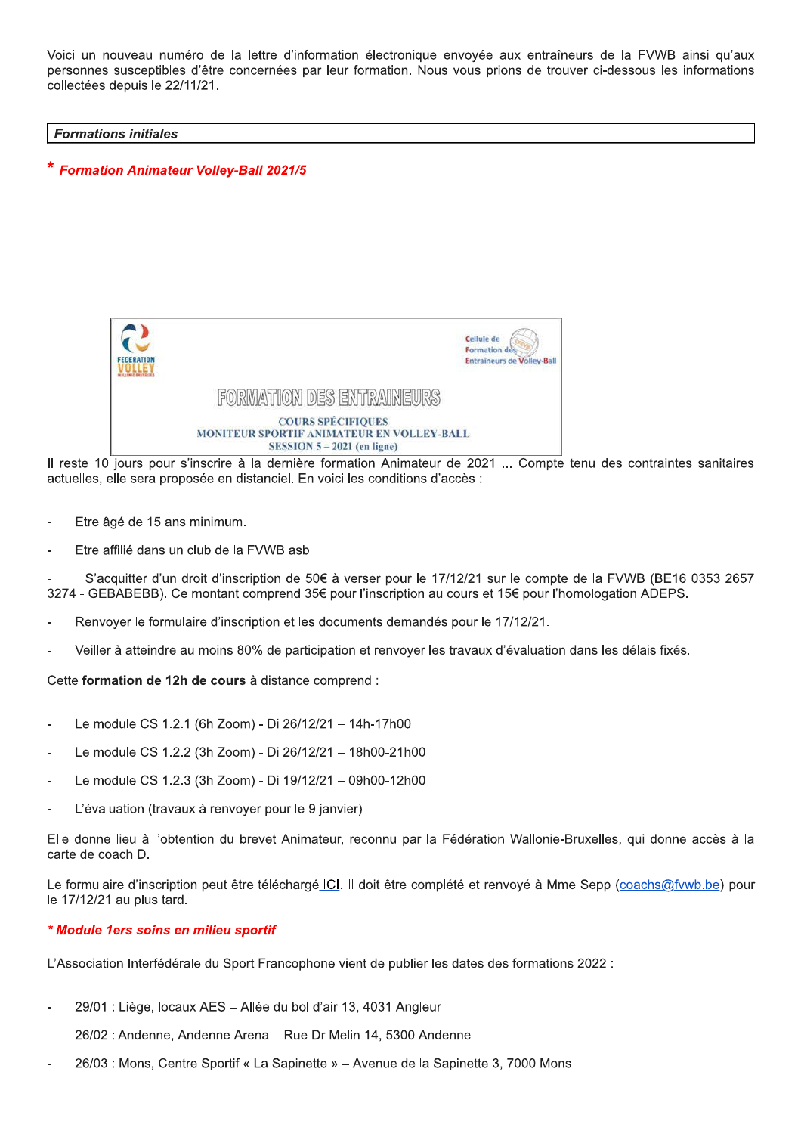Voici un nouveau numéro de la lettre d'information électronique envoyée aux entraîneurs de la FVWB ainsi qu'aux personnes susceptibles d'être concernées par leur formation. Nous vous prions de trouver ci-dessous les informations collectées depuis le 22/11/21.

#### **Formations initiales**

\* Formation Animateur Volley-Ball 2021/5



Il reste 10 jours pour s'inscrire à la dernière formation Animateur de 2021 ... Compte tenu des contraintes sanitaires actuelles, elle sera proposée en distanciel. En voici les conditions d'accès :

- Etre âgé de 15 ans minimum.
- Etre affilié dans un club de la FVWB asbl

S'acquitter d'un droit d'inscription de 50€ à verser pour le 17/12/21 sur le compte de la FVWB (BE16 0353 2657 3274 - GEBABEBB). Ce montant comprend 35€ pour l'inscription au cours et 15€ pour l'homologation ADEPS.

- Renvoyer le formulaire d'inscription et les documents demandés pour le 17/12/21.
- Veiller à atteindre au moins 80% de participation et renvoyer les travaux d'évaluation dans les délais fixés.

Cette formation de 12h de cours à distance comprend :

- Le module CS 1.2.1 (6h Zoom) Di 26/12/21 14h-17h00
- Le module CS 1.2.2 (3h Zoom) Di 26/12/21 18h00-21h00
- Le module CS 1.2.3 (3h Zoom) Di 19/12/21 09h00-12h00
- L'évaluation (travaux à renvoyer pour le 9 janvier)

Elle donne lieu à l'obtention du brevet Animateur, reconnu par la Fédération Wallonie-Bruxelles, qui donne accès à la carte de coach D.

Le formulaire d'inscription peut être téléchargé ICI. Il doit être complété et renvoyé à Mme Sepp (coachs@fvwb.be) pour le 17/12/21 au plus tard.

### \* Module 1ers soins en milieu sportif

L'Association Interfédérale du Sport Francophone vient de publier les dates des formations 2022 :

- 29/01 : Liège, locaux AES Allée du bol d'air 13, 4031 Angleur
- 26/02 : Andenne, Andenne Arena Rue Dr Melin 14, 5300 Andenne
- 26/03 : Mons, Centre Sportif « La Sapinette » Avenue de la Sapinette 3, 7000 Mons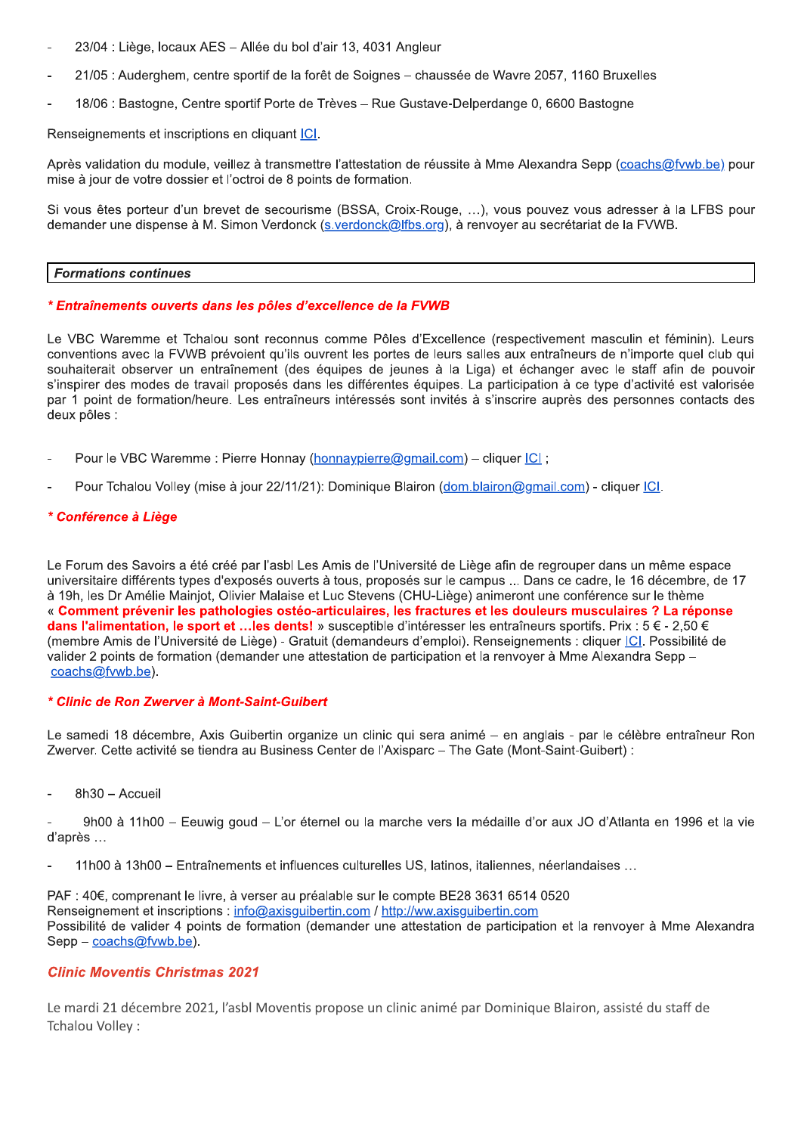- 23/04 : Liège, locaux AES Allée du bol d'air 13, 4031 Angleur
- 21/05 : Auderghem, centre sportif de la forêt de Soignes chaussée de Wavre 2057, 1160 Bruxelles
- 18/06 : Bastogne, Centre sportif Porte de Trèves Rue Gustave-Delperdange 0, 6600 Bastogne

Renseignements et inscriptions en cliquant ICI.

Après validation du module, veillez à transmettre l'attestation de réussite à Mme Alexandra Sepp (coachs@fvwb.be) pour mise à jour de votre dossier et l'octroi de 8 points de formation.

Si vous êtes porteur d'un brevet de secourisme (BSSA, Croix-Rouge, ...), vous pouvez vous adresser à la LFBS pour demander une dispense à M. Simon Verdonck (s.verdonck@lfbs.org), à renvoyer au secrétariat de la FVWB.

#### **Formations continues**

### \* Entraînements ouverts dans les pôles d'excellence de la FVWB

Le VBC Waremme et Tchalou sont reconnus comme Pôles d'Excellence (respectivement masculin et féminin). Leurs conventions avec la FVWB prévoient qu'ils ouvrent les portes de leurs salles aux entraîneurs de n'importe quel club qui souhaiterait observer un entraînement (des équipes de jeunes à la Liga) et échanger avec le staff afin de pouvoir s'inspirer des modes de travail proposés dans les différentes équipes. La participation à ce type d'activité est valorisée par 1 point de formation/heure. Les entraîneurs intéressés sont invités à s'inscrire auprès des personnes contacts des deux pôles :

- Pour le VBC Waremme : Pierre Honnay (honnaypierre@gmail.com) cliquer ICI ;
- Pour Tchalou Volley (mise à jour 22/11/21): Dominique Blairon (dom.blairon@gmail.com) cliquer [C].

### \* Conférence à Liège

Le Forum des Savoirs a été créé par l'asbl Les Amis de l'Université de Liège afin de regrouper dans un même espace universitaire différents types d'exposés ouverts à tous, proposés sur le campus ... Dans ce cadre, le 16 décembre, de 17 à 19h, les Dr Amélie Mainjot, Olivier Malaise et Luc Stevens (CHU-Liège) animeront une conférence sur le thème « Comment prévenir les pathologies ostéo-articulaires, les fractures et les douleurs musculaires ? La réponse dans l'alimentation, le sport et ... les dents! » susceptible d'intéresser les entraîneurs sportifs. Prix : 5 € - 2,50 € (membre Amis de l'Université de Liège) - Gratuit (demandeurs d'emploi). Renseignements : cliquer ICI. Possibilité de valider 2 points de formation (demander une attestation de participation et la renvoyer à Mme Alexandra Sepp coachs@fvwb.be).

### \* Clinic de Ron Zwerver à Mont-Saint-Guibert

Le samedi 18 décembre, Axis Guibertin organize un clinic qui sera animé – en anglais - par le célèbre entraîneur Ron Zwerver. Cette activité se tiendra au Business Center de l'Axisparc - The Gate (Mont-Saint-Guibert) :

8h30 - Accueil

9h00 à 11h00 – Eeuwig goud – L'or éternel ou la marche vers la médaille d'or aux JO d'Atlanta en 1996 et la vie d'après...

11h00 à 13h00 – Entraînements et influences culturelles US, latinos, italiennes, néerlandaises ...

PAF : 40€, comprenant le livre, à verser au préalable sur le compte BE28 3631 6514 0520 Renseignement et inscriptions : info@axisquibertin.com / http://ww.axisquibertin.com Possibilité de valider 4 points de formation (demander une attestation de participation et la renvoyer à Mme Alexandra  $Sep - coachs@fvwb.be$ ).

# **Clinic Moventis Christmas 2021**

Le mardi 21 décembre 2021, l'asbl Moventis propose un clinic animé par Dominique Blairon, assisté du staff de Tchalou Vollev: